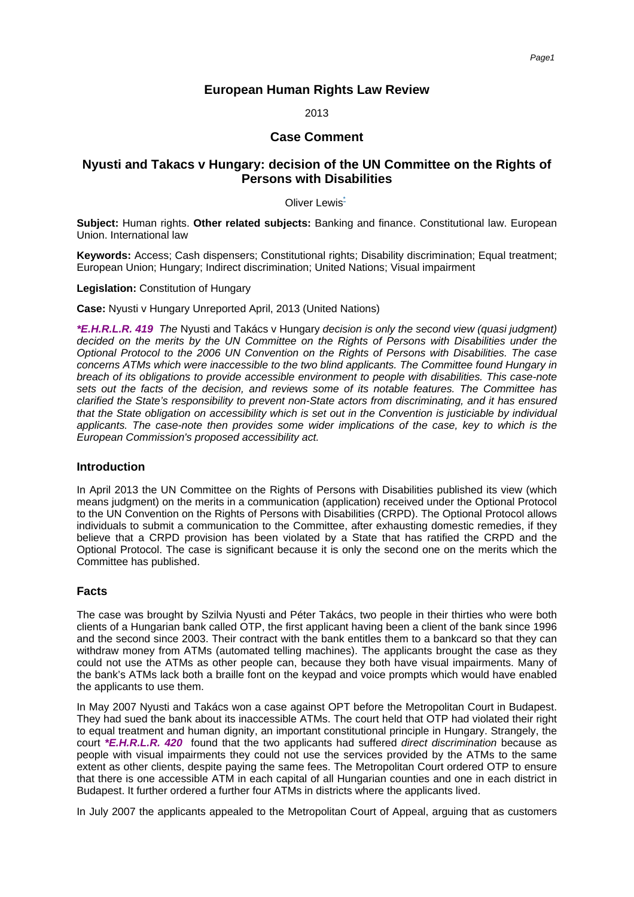# **European Human Rights Law Review**

2013

## **Case Comment**

# **Nyusti and Takacs v Hungary: decision of the UN Committee on the Rights of Persons with Disabilities**

#### Oliver [Lewis](#page-4-0)<sup>\*</sup>

<span id="page-0-0"></span>**Subject:** Human rights. **Other related subjects:** Banking and finance. Constitutional law. European Union. International law

**Keywords:** Access; Cash dispensers; Constitutional rights; Disability discrimination; Equal treatment; European Union; Hungary; Indirect discrimination; United Nations; Visual impairment

**Legislation:** Constitution of Hungary

**Case:** Nyusti v Hungary Unreported April, 2013 (United Nations)

**\*E.H.R.L.R. 419** The Nyusti and Takács v Hungary decision is only the second view (quasi judgment) decided on the merits by the UN Committee on the Rights of Persons with Disabilities under the Optional Protocol to the 2006 UN Convention on the Rights of Persons with Disabilities. The case concerns ATMs which were inaccessible to the two blind applicants. The Committee found Hungary in breach of its obligations to provide accessible environment to people with disabilities. This case-note sets out the facts of the decision, and reviews some of its notable features. The Committee has clarified the State's responsibility to prevent non-State actors from discriminating, and it has ensured that the State obligation on accessibility which is set out in the Convention is justiciable by individual applicants. The case-note then provides some wider implications of the case, key to which is the European Commission's proposed accessibility act.

#### **Introduction**

In April 2013 the UN Committee on the Rights of Persons with Disabilities published its view (which means judgment) on the merits in a communication (application) received under the Optional Protocol to the UN Convention on the Rights of Persons with Disabilities (CRPD). The Optional Protocol allows individuals to submit a communication to the Committee, after exhausting domestic remedies, if they believe that a CRPD provision has been violated by a State that has ratified the CRPD and the Optional Protocol. The case is significant because it is only the second one on the merits which the Committee has published.

## **Facts**

The case was brought by Szilvia Nyusti and Péter Takács, two people in their thirties who were both clients of a Hungarian bank called OTP, the first applicant having been a client of the bank since 1996 and the second since 2003. Their contract with the bank entitles them to a bankcard so that they can withdraw money from ATMs (automated telling machines). The applicants brought the case as they could not use the ATMs as other people can, because they both have visual impairments. Many of the bank's ATMs lack both a braille font on the keypad and voice prompts which would have enabled the applicants to use them.

In May 2007 Nyusti and Takács won a case against OPT before the Metropolitan Court in Budapest. They had sued the bank about its inaccessible ATMs. The court held that OTP had violated their right to equal treatment and human dignity, an important constitutional principle in Hungary. Strangely, the court **\*E.H.R.L.R. 420** found that the two applicants had suffered direct discrimination because as people with visual impairments they could not use the services provided by the ATMs to the same extent as other clients, despite paying the same fees. The Metropolitan Court ordered OTP to ensure that there is one accessible ATM in each capital of all Hungarian counties and one in each district in Budapest. It further ordered a further four ATMs in districts where the applicants lived.

In July 2007 the applicants appealed to the Metropolitan Court of Appeal, arguing that as customers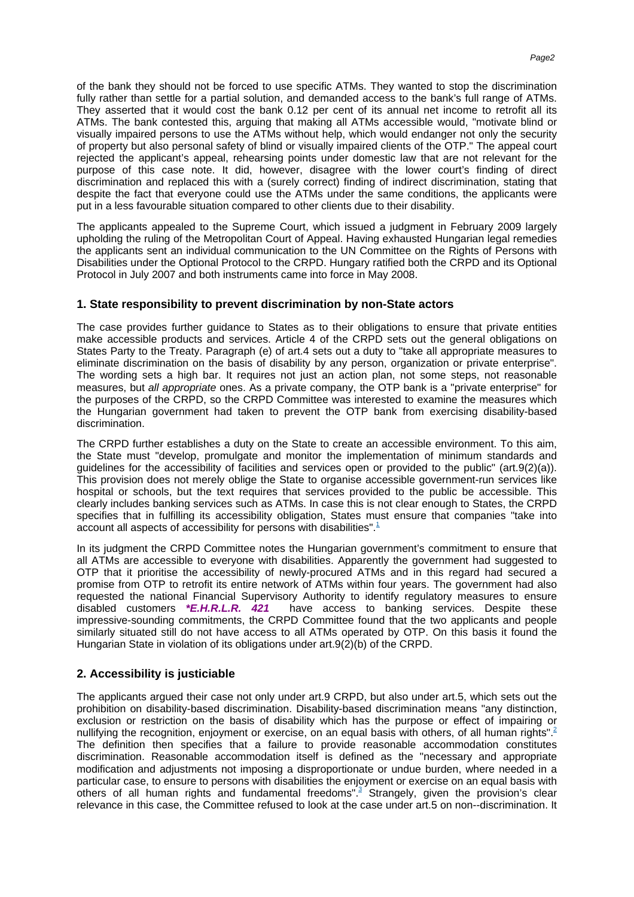of the bank they should not be forced to use specific ATMs. They wanted to stop the discrimination fully rather than settle for a partial solution, and demanded access to the bank's full range of ATMs. They asserted that it would cost the bank 0.12 per cent of its annual net income to retrofit all its ATMs. The bank contested this, arguing that making all ATMs accessible would, "motivate blind or visually impaired persons to use the ATMs without help, which would endanger not only the security of property but also personal safety of blind or visually impaired clients of the OTP." The appeal court rejected the applicant's appeal, rehearsing points under domestic law that are not relevant for the purpose of this case note. It did, however, disagree with the lower court's finding of direct discrimination and replaced this with a (surely correct) finding of indirect discrimination, stating that despite the fact that everyone could use the ATMs under the same conditions, the applicants were put in a less favourable situation compared to other clients due to their disability.

The applicants appealed to the Supreme Court, which issued a judgment in February 2009 largely upholding the ruling of the Metropolitan Court of Appeal. Having exhausted Hungarian legal remedies the applicants sent an individual communication to the UN Committee on the Rights of Persons with Disabilities under the Optional Protocol to the CRPD. Hungary ratified both the CRPD and its Optional Protocol in July 2007 and both instruments came into force in May 2008.

## **1. State responsibility to prevent discrimination by non-State actors**

The case provides further guidance to States as to their obligations to ensure that private entities make accessible products and services. Article 4 of the CRPD sets out the general obligations on States Party to the Treaty. Paragraph (e) of art.4 sets out a duty to "take all appropriate measures to eliminate discrimination on the basis of disability by any person, organization or private enterprise". The wording sets a high bar. It requires not just an action plan, not some steps, not reasonable measures, but all appropriate ones. As a private company, the OTP bank is a "private enterprise" for the purposes of the CRPD, so the CRPD Committee was interested to examine the measures which the Hungarian government had taken to prevent the OTP bank from exercising disability-based discrimination.

The CRPD further establishes a duty on the State to create an accessible environment. To this aim, the State must "develop, promulgate and monitor the implementation of minimum standards and guidelines for the accessibility of facilities and services open or provided to the public" (art.9(2)(a)). This provision does not merely oblige the State to organise accessible government-run services like hospital or schools, but the text requires that services provided to the public be accessible. This clearly includes banking services such as ATMs. In case this is not clear enough to States, the CRPD specifies that in fulfilling its accessibility obligation, States must ensure that companies "take into account all aspects of accessibility for persons with [disabilities".](#page-4-1)<sup>1</sup>

<span id="page-1-0"></span>In its judgment the CRPD Committee notes the Hungarian government's commitment to ensure that all ATMs are accessible to everyone with disabilities. Apparently the government had suggested to OTP that it prioritise the accessibility of newly-procured ATMs and in this regard had secured a promise from OTP to retrofit its entire network of ATMs within four years. The government had also requested the national Financial Supervisory Authority to identify regulatory measures to ensure disabled customers **\*E.H.R.L.R. 421** have access to banking services. Despite these impressive-sounding commitments, the CRPD Committee found that the two applicants and people similarly situated still do not have access to all ATMs operated by OTP. On this basis it found the Hungarian State in violation of its obligations under art.9(2)(b) of the CRPD.

## **2. Accessibility is justiciable**

<span id="page-1-2"></span><span id="page-1-1"></span>The applicants argued their case not only under art.9 CRPD, but also under art.5, which sets out the prohibition on disability-based discrimination. Disability-based discrimination means "any distinction, exclusion or restriction on the basis of disability which has the purpose or effect of impairing or nullifying the recognition, enjoyment or exercise, on an equal basis with others, of all human [rights".](#page-4-2)<sup>2</sup> The definition then specifies that a failure to provide reasonable accommodation constitutes discrimination. Reasonable accommodation itself is defined as the "necessary and appropriate modification and adjustments not imposing a disproportionate or undue burden, where needed in a particular case, to ensure to persons with disabilities the enjoyment or exercise on an equal basis with others of all human rights and fundamental [freedoms".](#page-4-3)<sup>3</sup> Strangely, given the provision's clear relevance in this case, the Committee refused to look at the case under art.5 on non--discrimination. It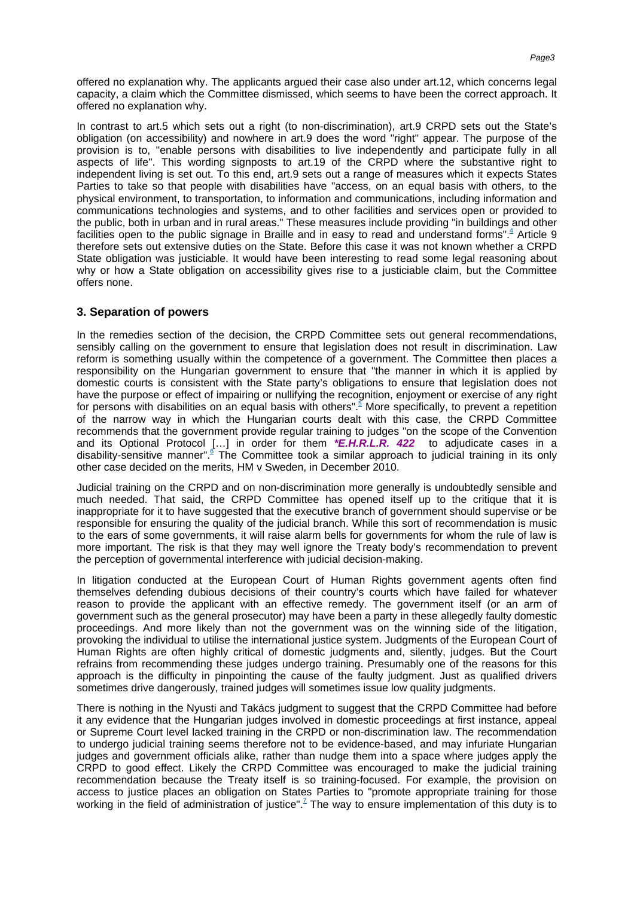offered no explanation why. The applicants argued their case also under art.12, which concerns legal capacity, a claim which the Committee dismissed, which seems to have been the correct approach. It offered no explanation why.

In contrast to art.5 which sets out a right (to non-discrimination), art.9 CRPD sets out the State's obligation (on accessibility) and nowhere in art.9 does the word "right" appear. The purpose of the provision is to, "enable persons with disabilities to live independently and participate fully in all aspects of life". This wording signposts to art.19 of the CRPD where the substantive right to independent living is set out. To this end, art.9 sets out a range of measures which it expects States Parties to take so that people with disabilities have "access, on an equal basis with others, to the physical environment, to transportation, to information and communications, including information and communications technologies and systems, and to other facilities and services open or provided to the public, both in urban and in rural areas." These measures include providing "in buildings and other facilities open to the public signage in Braille and in easy to read and understand [forms".](#page-4-4)<sup>4</sup> Article 9 therefore sets out extensive duties on the State. Before this case it was not known whether a CRPD State obligation was justiciable. It would have been interesting to read some legal reasoning about why or how a State obligation on accessibility gives rise to a justiciable claim, but the Committee offers none.

#### <span id="page-2-0"></span>**3. Separation of powers**

<span id="page-2-1"></span>In the remedies section of the decision, the CRPD Committee sets out general recommendations, sensibly calling on the government to ensure that legislation does not result in discrimination. Law reform is something usually within the competence of a government. The Committee then places a responsibility on the Hungarian government to ensure that "the manner in which it is applied by domestic courts is consistent with the State party's obligations to ensure that legislation does not have the purpose or effect of impairing or nullifying the recognition, enjoyment or exercise of any right for persons with disabilities on an equal basis with [others".](#page-4-5)<sup>5</sup> More specifically, to prevent a repetition of the narrow way in which the Hungarian courts dealt with this case, the CRPD Committee recommends that the government provide regular training to judges "on the scope of the Convention and its Optional Protocol […] in order for them **\*E.H.R.L.R. 422** to adjudicate cases in a disability-sensitive [manner".](#page-4-6)<sup>6</sup> The Committee took a similar approach to judicial training in its only other case decided on the merits, HM v Sweden, in December 2010.

<span id="page-2-2"></span>Judicial training on the CRPD and on non-discrimination more generally is undoubtedly sensible and much needed. That said, the CRPD Committee has opened itself up to the critique that it is inappropriate for it to have suggested that the executive branch of government should supervise or be responsible for ensuring the quality of the judicial branch. While this sort of recommendation is music to the ears of some governments, it will raise alarm bells for governments for whom the rule of law is more important. The risk is that they may well ignore the Treaty body's recommendation to prevent the perception of governmental interference with judicial decision-making.

In litigation conducted at the European Court of Human Rights government agents often find themselves defending dubious decisions of their country's courts which have failed for whatever reason to provide the applicant with an effective remedy. The government itself (or an arm of government such as the general prosecutor) may have been a party in these allegedly faulty domestic proceedings. And more likely than not the government was on the winning side of the litigation, provoking the individual to utilise the international justice system. Judgments of the European Court of Human Rights are often highly critical of domestic judgments and, silently, judges. But the Court refrains from recommending these judges undergo training. Presumably one of the reasons for this approach is the difficulty in pinpointing the cause of the faulty judgment. Just as qualified drivers sometimes drive dangerously, trained judges will sometimes issue low quality judgments.

<span id="page-2-3"></span>There is nothing in the Nyusti and Takács judgment to suggest that the CRPD Committee had before it any evidence that the Hungarian judges involved in domestic proceedings at first instance, appeal or Supreme Court level lacked training in the CRPD or non-discrimination law. The recommendation to undergo judicial training seems therefore not to be evidence-based, and may infuriate Hungarian judges and government officials alike, rather than nudge them into a space where judges apply the CRPD to good effect. Likely the CRPD Committee was encouraged to make the judicial training recommendation because the Treaty itself is so training-focused. For example, the provision on access to justice places an obligation on States Parties to "promote appropriate training for those working in the field of administration of [justice".](#page-4-7)<sup>7</sup> The way to ensure implementation of this duty is to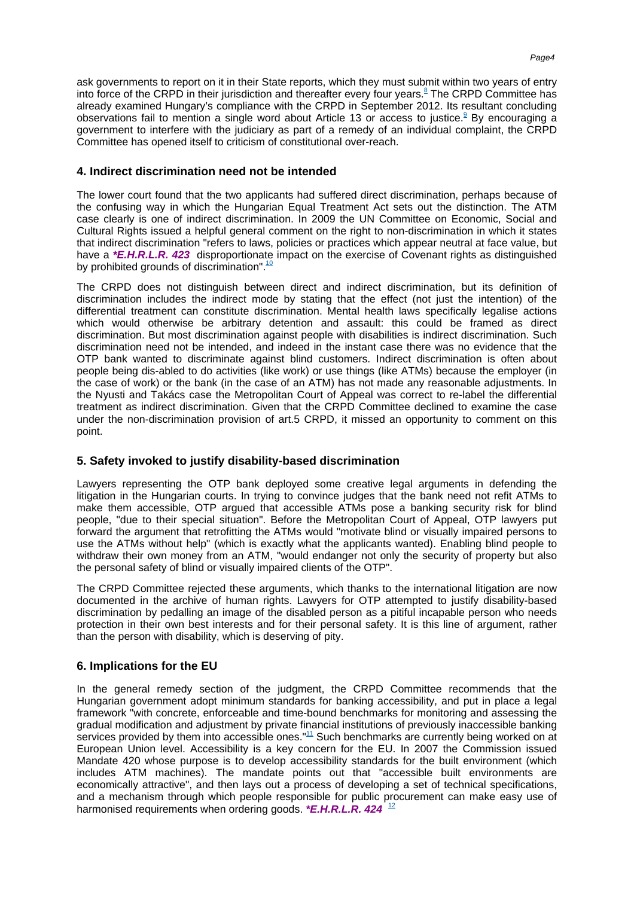<span id="page-3-1"></span><span id="page-3-0"></span>ask governments to report on it in their State reports, which they must submit within two years of entry into force of the CRPD in their jurisdiction and thereafter every four [years.](#page-4-8)<sup>8</sup> The CRPD Committee has already examined Hungary's compliance with the CRPD in September 2012. Its resultant concluding observations fail to mention a single word about Article 13 or access to [justice.](#page--1-0)<sup>9</sup> By encouraging a government to interfere with the judiciary as part of a remedy of an individual complaint, the CRPD Committee has opened itself to criticism of constitutional over-reach.

#### **4. Indirect discrimination need not be intended**

The lower court found that the two applicants had suffered direct discrimination, perhaps because of the confusing way in which the Hungarian Equal Treatment Act sets out the distinction. The ATM case clearly is one of indirect discrimination. In 2009 the UN Committee on Economic, Social and Cultural Rights issued a helpful general comment on the right to non-discrimination in which it states that indirect discrimination "refers to laws, policies or practices which appear neutral at face value, but have a **\*E.H.R.L.R. 423** disproportionate impact on the exercise of Covenant rights as distinguished by prohibited grounds o[f discrimination".](#page-5-0) $\frac{10}{10}$ 

<span id="page-3-2"></span>The CRPD does not distinguish between direct and indirect discrimination, but its definition of discrimination includes the indirect mode by stating that the effect (not just the intention) of the differential treatment can constitute discrimination. Mental health laws specifically legalise actions which would otherwise be arbitrary detention and assault: this could be framed as direct discrimination. But most discrimination against people with disabilities is indirect discrimination. Such discrimination need not be intended, and indeed in the instant case there was no evidence that the OTP bank wanted to discriminate against blind customers. Indirect discrimination is often about people being dis-abled to do activities (like work) or use things (like ATMs) because the employer (in the case of work) or the bank (in the case of an ATM) has not made any reasonable adjustments. In the Nyusti and Takács case the Metropolitan Court of Appeal was correct to re-label the differential treatment as indirect discrimination. Given that the CRPD Committee declined to examine the case under the non-discrimination provision of art.5 CRPD, it missed an opportunity to comment on this point.

## **5. Safety invoked to justify disability-based discrimination**

Lawyers representing the OTP bank deployed some creative legal arguments in defending the litigation in the Hungarian courts. In trying to convince judges that the bank need not refit ATMs to make them accessible, OTP argued that accessible ATMs pose a banking security risk for blind people, "due to their special situation". Before the Metropolitan Court of Appeal, OTP lawyers put forward the argument that retrofitting the ATMs would "motivate blind or visually impaired persons to use the ATMs without help" (which is exactly what the applicants wanted). Enabling blind people to withdraw their own money from an ATM, "would endanger not only the security of property but also the personal safety of blind or visually impaired clients of the OTP".

The CRPD Committee rejected these arguments, which thanks to the international litigation are now documented in the archive of human rights. Lawyers for OTP attempted to justify disability-based discrimination by pedalling an image of the disabled person as a pitiful incapable person who needs protection in their own best interests and for their personal safety. It is this line of argument, rather than the person with disability, which is deserving of pity.

## **6. Implications for the EU**

<span id="page-3-4"></span><span id="page-3-3"></span>In the general remedy section of the judgment, the CRPD Committee recommends that the Hungarian government adopt minimum standards for banking accessibility, and put in place a legal framework "with concrete, enforceable and time-bound benchmarks for monitoring and assessing the gradual modification and adjustment by private financial institutions of previously inaccessible banking services provided by them into accessible [ones."](#page-5-1)<sup>11</sup> Such benchmarks are currently being worked on at European Union level. Accessibility is a key concern for the EU. In 2007 the Commission issued Mandate 420 whose purpose is to develop accessibility standards for the built environment (which includes ATM machines). The mandate points out that "accessible built environments are economically attractive", and then lays out a process of developing a set of technical specifications, and a mechanism through which people responsible for public procurement can make easy use of harmonised requirements when ordering goods. **\*E.H.R.L.R. 424** [12](#page-5-2)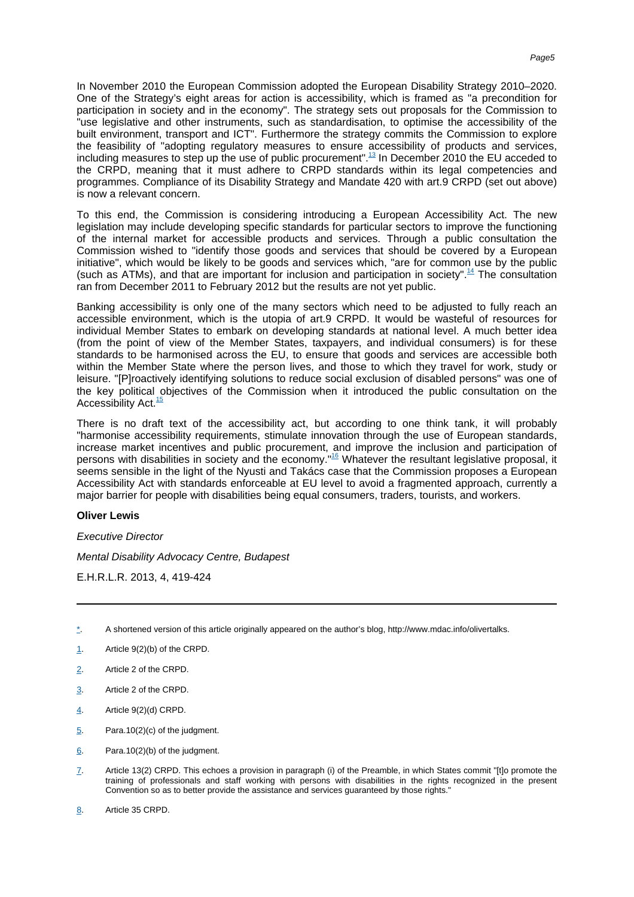In November 2010 the European Commission adopted the European Disability Strategy 2010–2020. One of the Strategy's eight areas for action is accessibility, which is framed as "a precondition for participation in society and in the economy". The strategy sets out proposals for the Commission to "use legislative and other instruments, such as standardisation, to optimise the accessibility of the built environment, transport and ICT". Furthermore the strategy commits the Commission to explore the feasibility of "adopting regulatory measures to ensure accessibility of products and services, including measures to step up the use of public [procurement".](#page-5-3)<sup>13</sup> In December 2010 the EU acceded to the CRPD, meaning that it must adhere to CRPD standards within its legal competencies and programmes. Compliance of its Disability Strategy and Mandate 420 with art.9 CRPD (set out above) is now a relevant concern.

<span id="page-4-9"></span>To this end, the Commission is considering introducing a European Accessibility Act. The new legislation may include developing specific standards for particular sectors to improve the functioning of the internal market for accessible products and services. Through a public consultation the Commission wished to "identify those goods and services that should be covered by a European initiative", which would be likely to be goods and services which, "are for common use by the public (such as ATMs), and that are important for inclusion and participation in [society".](#page-5-4)<sup>14</sup> The consultation ran from December 2011 to February 2012 but the results are not yet public.

<span id="page-4-10"></span>Banking accessibility is only one of the many sectors which need to be adjusted to fully reach an accessible environment, which is the utopia of art.9 CRPD. It would be wasteful of resources for individual Member States to embark on developing standards at national level. A much better idea (from the point of view of the Member States, taxpayers, and individual consumers) is for these standards to be harmonised across the EU, to ensure that goods and services are accessible both within the Member State where the person lives, and those to which they travel for work, study or leisure. "[P]roactively identifying solutions to reduce social exclusion of disabled persons" was one of the key political objectives of the Commission when it introduced the public consultation on the Accessibilit[y Act.](#page-5-5)<sup>15</sup>

<span id="page-4-12"></span><span id="page-4-11"></span>There is no draft text of the accessibility act, but according to one think tank, it will probably "harmonise accessibility requirements, stimulate innovation through the use of European standards, increase market incentives and public procurement, and improve the inclusion and participation of persons with disabilities in society and the economy.<sup>"16</sup> Whatever the resultant legislative proposal, it seems sensible in the light of the Nyusti and Takács case that the Commission proposes a European Accessibility Act with standards enforceable at EU level to avoid a fragmented approach, currently a major barrier for people with disabilities being equal consumers, traders, tourists, and workers.

#### **Oliver Lewis**

Executive Director

Mental Disability Advocacy Centre, Budapest

E.H.R.L.R. 2013, 4, 419-424

- <span id="page-4-0"></span>[\\*](#page-0-0). A shortened version of this article originally appeared on the author's blog, http://www.mdac.info/olivertalks.
- <span id="page-4-1"></span>[1](#page-1-0). Article 9(2)(b) of the CRPD.
- <span id="page-4-2"></span>[2](#page-1-1). Article 2 of the CRPD.
- <span id="page-4-3"></span>[3](#page-1-2). Article 2 of the CRPD.
- <span id="page-4-4"></span>[4](#page-2-0). Article 9(2)(d) CRPD.
- <span id="page-4-5"></span>[5](#page-2-1). Para.10(2)(c) of the judgment.
- <span id="page-4-6"></span>[6](#page-2-2). Para.10(2)(b) of the judgment.
- <span id="page-4-7"></span>[7](#page-2-3). Article 13(2) CRPD. This echoes a provision in paragraph (i) of the Preamble, in which States commit "[t]o promote the training of professionals and staff working with persons with disabilities in the rights recognized in the present Convention so as to better provide the assistance and services guaranteed by those rights."
- <span id="page-4-8"></span>[8](#page-3-0). Article 35 CRPD.